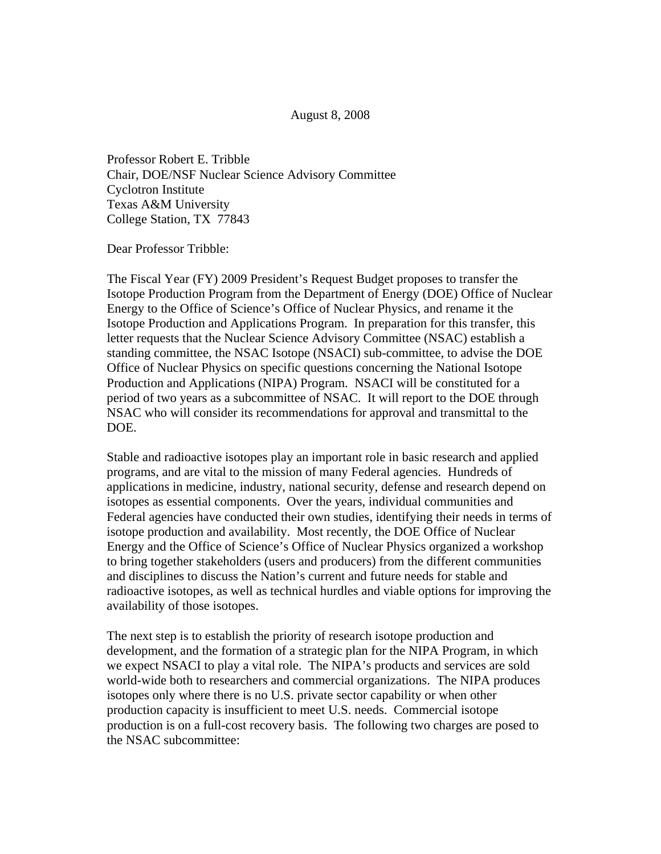August 8, 2008

Professor Robert E. Tribble Chair, DOE/NSF Nuclear Science Advisory Committee Cyclotron Institute Texas A&M University College Station, TX 77843

Dear Professor Tribble:

The Fiscal Year (FY) 2009 President's Request Budget proposes to transfer the Isotope Production Program from the Department of Energy (DOE) Office of Nuclear Energy to the Office of Science's Office of Nuclear Physics, and rename it the Isotope Production and Applications Program. In preparation for this transfer, this letter requests that the Nuclear Science Advisory Committee (NSAC) establish a standing committee, the NSAC Isotope (NSACI) sub-committee, to advise the DOE Office of Nuclear Physics on specific questions concerning the National Isotope Production and Applications (NIPA) Program. NSACI will be constituted for a period of two years as a subcommittee of NSAC. It will report to the DOE through NSAC who will consider its recommendations for approval and transmittal to the DOE.

Stable and radioactive isotopes play an important role in basic research and applied programs, and are vital to the mission of many Federal agencies. Hundreds of applications in medicine, industry, national security, defense and research depend on isotopes as essential components. Over the years, individual communities and Federal agencies have conducted their own studies, identifying their needs in terms of isotope production and availability. Most recently, the DOE Office of Nuclear Energy and the Office of Science's Office of Nuclear Physics organized a workshop to bring together stakeholders (users and producers) from the different communities and disciplines to discuss the Nation's current and future needs for stable and radioactive isotopes, as well as technical hurdles and viable options for improving the availability of those isotopes.

The next step is to establish the priority of research isotope production and development, and the formation of a strategic plan for the NIPA Program, in which we expect NSACI to play a vital role. The NIPA's products and services are sold world-wide both to researchers and commercial organizations. The NIPA produces isotopes only where there is no U.S. private sector capability or when other production capacity is insufficient to meet U.S. needs. Commercial isotope production is on a full-cost recovery basis. The following two charges are posed to the NSAC subcommittee: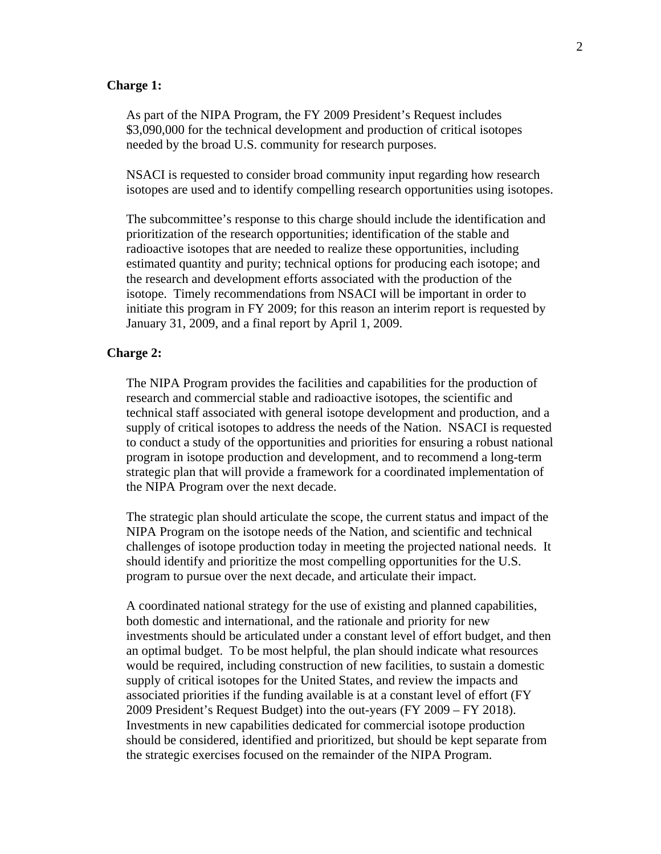## **Charge 1:**

As part of the NIPA Program, the FY 2009 President's Request includes \$3,090,000 for the technical development and production of critical isotopes needed by the broad U.S. community for research purposes.

NSACI is requested to consider broad community input regarding how research isotopes are used and to identify compelling research opportunities using isotopes.

The subcommittee's response to this charge should include the identification and prioritization of the research opportunities; identification of the stable and radioactive isotopes that are needed to realize these opportunities, including estimated quantity and purity; technical options for producing each isotope; and the research and development efforts associated with the production of the isotope. Timely recommendations from NSACI will be important in order to initiate this program in FY 2009; for this reason an interim report is requested by January 31, 2009, and a final report by April 1, 2009.

## **Charge 2:**

The NIPA Program provides the facilities and capabilities for the production of research and commercial stable and radioactive isotopes, the scientific and technical staff associated with general isotope development and production, and a supply of critical isotopes to address the needs of the Nation. NSACI is requested to conduct a study of the opportunities and priorities for ensuring a robust national program in isotope production and development, and to recommend a long-term strategic plan that will provide a framework for a coordinated implementation of the NIPA Program over the next decade.

The strategic plan should articulate the scope, the current status and impact of the NIPA Program on the isotope needs of the Nation, and scientific and technical challenges of isotope production today in meeting the projected national needs. It should identify and prioritize the most compelling opportunities for the U.S. program to pursue over the next decade, and articulate their impact.

A coordinated national strategy for the use of existing and planned capabilities, both domestic and international, and the rationale and priority for new investments should be articulated under a constant level of effort budget, and then an optimal budget. To be most helpful, the plan should indicate what resources would be required, including construction of new facilities, to sustain a domestic supply of critical isotopes for the United States, and review the impacts and associated priorities if the funding available is at a constant level of effort (FY 2009 President's Request Budget) into the out-years (FY 2009 – FY 2018). Investments in new capabilities dedicated for commercial isotope production should be considered, identified and prioritized, but should be kept separate from the strategic exercises focused on the remainder of the NIPA Program.